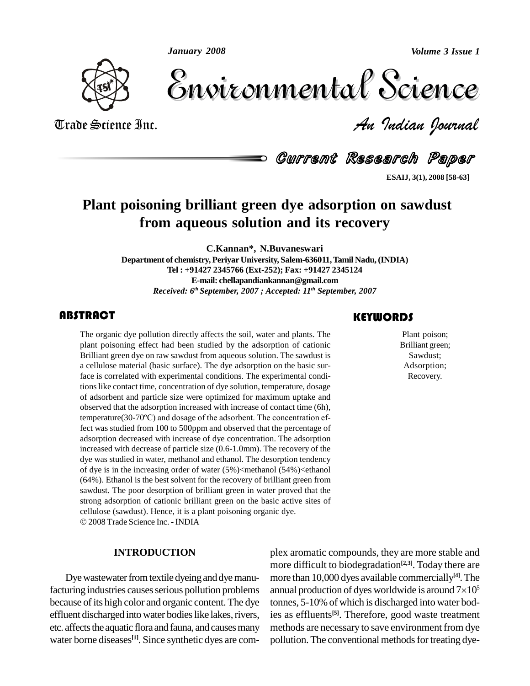*January 2008*

*Volume 3 Issue 1*



Volume 3 Issue 1 Trade Science Inc. *An Indian Journal* Volume 3 Issue 1

Current Research Paper

**ESAIJ, 3(1), 2008 [58-63]**

# **Plant poisoning brilliant green dye adsorption on sawdust from aqueous solution and its recovery**

**C.Kannan\*, N.Buvaneswari**

**Department of chemistry, Periyar University, Salem-636011,Tamil Nadu,(INDIA) Tel : +91427 2345766 (Ext-252); Fax: +91427 2345124 E-mail: [chellapandiankannan@gmail.com](mailto:chellapandiankannan@gmail.com)** *Received: 6 th September, 2007 ; Accepted: 11 th September, 2007*

# **ABSTRACT**

The organic dye pollution directly affects the soil, water and plants. The plant poisoning effect had been studied by the adsorption of cationic Brilliant green dye on raw sawdust from aqueous solution. The sawdust is The organic dye pollution directly affects the soil, water and plants. The plant poisoning effect had been studied by the adsorption of cationic a cellulose material (basic surface). The dye adsorption on the basic surface is correlated with experimental conditions. The experimental conditions like contact time, concentration of dye solution, temperature, dosage of adsorbent and particle size were optimized for maximum uptake and<br>observed that the adsorption increased with increase of contact time (6h),<br>temperature(30-70°C) and dosage of the adsorbent. The concentration efobserved that the adsorption increased with increase of contact time (6h), fect was studied from 100 to 500ppm and observed that the percentage of adsorption decreased with increase of dye concentration. The adsorption increased with decrease of particle size (0.6-1.0mm). The recovery of the dye was studied in water, methanol and ethanol. The desorption tendency of dye is in the increasing order of water (5%)<methanol (54%)<ethanol (64%). Ethanol is the best solvent for the recovery of brilliant green from sawdust. The poor desorption of brilliant green in water proved that the strong adsorption of cationic brilliant green on the basic active sites of cellulose (sawdust). Hence, it is a plant poisoning organic dye. 2008Trade Science Inc. - INDIA

# **INTRODUCTION**

Dye wastewater from textile dyeing and dye manufacturing industries causes serious pollution problems because of its high color and organic content. The dye effluent discharged into water bodies like lakes, rivers, etc. affects the aquatic flora and fauna, and causes many water borne diseases<sup>[1]</sup>. Since synthetic dyes are com-

# **KEYWORDS**

Plant poison;<br>Brilliant green;<br>Sawdust; Plant poison; Brilliant green; Sawdust; Adsorption; Recovery.

plex aromatic compounds, they are more stable and more difficult to biodegradation<sup>[2,3]</sup>. Today there are<br>more than 10,000 dyes available commercially<sup>[4]</sup>. The<br>annual production of dyes worldwide is around 7×10<sup>5</sup> more than 10,000 dyes available commercially **[4]**.The annual production of dyes worldwide is around  $7\times10^5$ tonnes, 5-10% of which is discharged into water bodies as effluents **[5]**. Therefore, good waste treatment methods are necessary to save environment from dye pollution. The conventional methods for treating dye-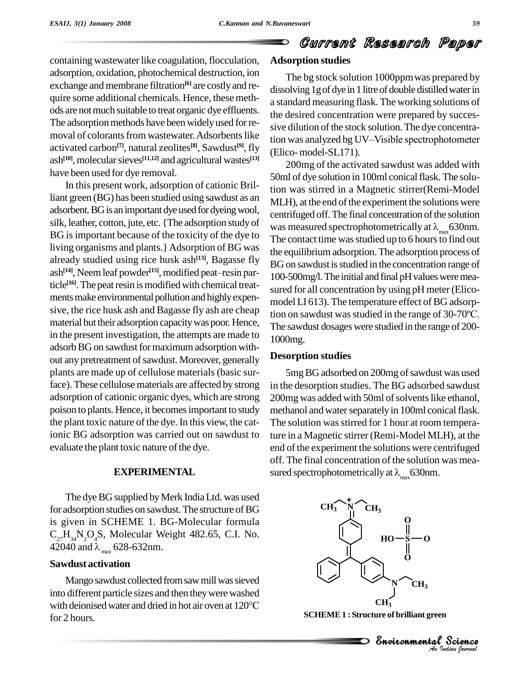# Current Research Paper

containing wastewater like coagulation, flocculation, adsorption, oxidation, photochemical destruction, ion exchange and membrane filtration<sup>[6]</sup> are costly and re-<br>quire some additional chemicals. Hence, these methods are notmuch suitable to treat organic dye effluents. The adsorption methods have been widely used for removal of colorants from wastewater. Adsorbents like<br>tion was analyzed bg UV-Visible spectrophotometer activated carbon<sup>[7]</sup>, natural zeolites<sup>[8]</sup>, Sawdust<sup>[9]</sup>, fly ash<sup>[10]</sup>, molecular sieves<sup>[11,12]</sup> and agricultural wastes<sup>[13]</sup> have been used for dye removal.

In this present work, adsorption of cationic Brilliant green (BG) has been studied using sawdust as an adsorbent. BG is an important dye used for dyeing wool, silk, leather, cotton, jute, etc. {The adsorption study of was measured spectrophotometrically at  $\lambda_{\text{max}}$  630nm. BG is important because of the toxicity of the dye to  $\frac{1}{2}$  The contact time was studied up to 6 hours to find out living organisms and plants.}Adsorption of BG was already studied using rice husk ash<sup>[13]</sup>, Bagasse fly  $R_{\text{Gon}}$ ash **[14]**, Neemleaf powder nts.} Adsorption of BG was<br>ce husk ash<sup>[13]</sup>, Bagasse fly<br><sup>[15]</sup>, modified peat–resin particle<sup>[16]</sup>. The peat resin is modified with chemical treatments make environmental pollution and highly expensive, the rice husk ash and Bagasse fly ash are cheap  $\frac{1}{2}$  is a studied in the range of 30-70°C. material but their adsorption capacity was poor. Hence, in the present investigation, the attempts are made to adsorb BG on sawdust for maximum adsorption without any pretreatment of sawdust. Moreover, generally plants are made up of cellulose materials(basic surface). These cellulose materials are affected by strong adsorption of cationic organic dyes, which are strong poison to plants. Hence, it becomesimportant to study the plant toxic nature of the dye. In this view, the cationic BG adsorption was carried out on sawdust to evaluate the plant toxic nature of the dye.

## **EXPERIMENTAL**

The dye BG supplied by Merk India Ltd. was used for adsorption studies on sawdust. The structure of BG is given in SCHEME 1. BG-Molecular formula  $C_{27}H_{34}N_{2}O_{4}S$ , Molecular Weight 482.65, C.I. No. 42040 and  $\lambda_{\text{max}}$  628-632nm.

# **Sawdust activation**

Mango sawdust collected from saw mill was sieved into different particle sizes and then theywere washed Mango sawdust collected from saw mill was sieved<br>into different particle sizes and then they were washed<br>with deionised water and dried in hot air oven at 120°C for 2 hours.

# **Adsorption studies**

The bg stock solution 1000ppmwas prepared by dissolving 1g of dye in 1 litre of double distilled water in a standard measuring flask. The working solutions of the desired concentration were prepared by succes sive dilution of the stock solution. The dye concentrathe desired concentration were prepared by succes-<br>sive dilution of the stock solution. The dye concentra-<br>tion was analyzed bg UV–Visible spectrophotometer (Elico- model-SL171).

200mg of the activated sawdust was added with 50ml of dye solution in 100ml conical flask. The solution was stirred in a Magnetic stirrer(Remi-Model MLH), at the end of the experiment the solutions were<br>centrifuged off. The final concentration of the solution<br>was measured spectrophotometrically at  $\lambda_{\text{max}}$ 630nm.<br>The contact time was studied up to 6 hours to find out centrifuged off. The final concentration of the solution the equilibrium adsorption.The adsorption process of BG on sawdust is studied in the concentration range of 100-500mg/l.The initial and final pHvaluesweremea sured for all concentration by using pH meter (Elico-<br>model LI 613). The temperature effect of BG adsorp-<br>tion on sawdust was studied in the range of 30-70°C. model LI 613). The temperature effect of BG adsorp-The sawdust dosages were studied in the range of 200-1000mg.

#### **Desorption studies**

5mg BG adsorbed on 200mg of sawdust was used in the desorption studies. The BG adsorbed sawdust 200mg was added with 50ml of solvents like ethanol, methanol and water separately in 100ml conical flask. The solution was stirred for 1 hour at room temperature in a Magnetic stirrer (Remi-Model MLH), at the end of the experiment the solutions were centrifuged off. The final concentration of the solution was mea sured spectrophotometrically at  $\lambda_{\text{max}}$ 630nm.



**SCHEME1 : Structure of brilliant green**

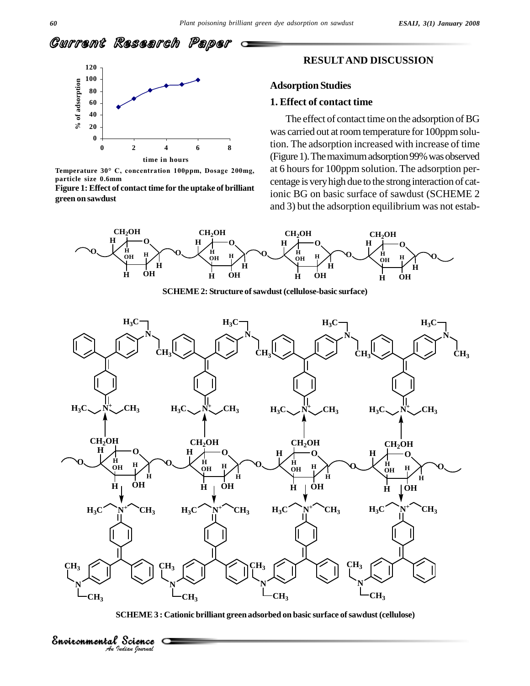



**Temperature <sup>30</sup>° C, concentration 100ppm, Dosage 200mg, particle size 0.6mm**

**Figure 1: Effect of contact time for the uptake of brilliant green on sawdust**

*Indian Journal*

#### **RESULTAND DISCUSSION**

# **Adsorption Studies**

# **1. Effect of contact time**

The effect of contact time on the adsorption of BG was carried out at room temperature for 100ppm solution. The adsorption increased with increase of time (Figure 1). The maximum adsorption 99% was observed at 6 hours for 100ppm solution. The adsorption percentage is veryhigh due to the stronginteraction of cationic BG on basic surface of sawdust (SCHEME 2 and 3) but the adsorption equilibrium was not estab-



**SCHEME2: Structure ofsawdust (cellulose-basic surface)**



**SCHEME3 : Cationic brilliant green adsorbed on basic surface ofsawdust (cellulose)**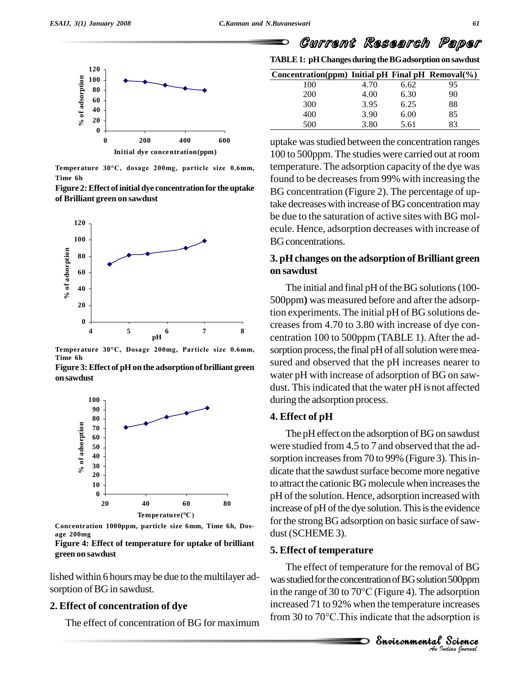

**Temperature <sup>30</sup>°C, dosage 200mg, particle size 0.6mm, Time 6h**

| Figure 2: Effect of initial dye concentration for the uptake | BC        |
|--------------------------------------------------------------|-----------|
| of Brilliant green on sawdust                                | $4 - 1 -$ |



**Time 6h**

**Figure 3:Effect of pH on the adsorption of brilliant green onsawdust**



**Concentration 1000ppm, particle size 6mm, Time 6h, Dos age 200mg**

**Figure 4: Effect of temperature for uptake of brilliant green on sawdust**

lished within 6 hours may be due to the multilayer ad sorption of BG in sawdust.

# **2. Effect of concentration of dye**

The effect of concentration of BG for maximum

Current Research Paper

**TABLE1: pHChanges during theBGadsorption on sawdust**

| Concentration(ppm) Initial pH Final pH Removal( $\%$ ) |      |      |    |
|--------------------------------------------------------|------|------|----|
| 100                                                    | 4.70 | 6.62 | 95 |
| 200                                                    | 4.00 | 6.30 | 90 |
| 300                                                    | 3.95 | 6.25 | 88 |
| 400                                                    | 3.90 | 6.00 | 85 |
| 500                                                    | 3.80 | 5.61 | 83 |

uptake was studied between the concentration ranges 100 to 500ppm. The studies were carried out at room temperature. The adsorption capacity of the dye was found to be decreases from 99% with increasing the BG concentration (Figure 2). The percentage of uptake decreases with increase of BG concentration may be due to the saturation of active sites with BG mol ecule. Hence, adsorption decreases with increase of BG concentrations.

# **3. pHchanges on the adsorption of Brilliant green on sawdust**

The initial and final  $pH$  of the BG solutions (100-500ppm**)** was measured before and after the adsorption experiments. The initial pH of BG solutions de creases from 4.70 to 3.80 with increase of dye con centration 100 to 500ppm (TABLE 1). After the adsorption process, the final pH of all solution were measured and observed that the pH increases nearer to water pH with increase of adsorption of BG on saw dust. This indicated that the water pH is not affected during the adsorption process.

# **4. Effect of pH**

The pH effect on the adsorption of BG on sawdust were studied from 4.5 to 7 and observed that the adsorption increases from 70 to 99% (Figure 3). This indicate that the sawdust surface become more negative to attract the cationic BG molecule when increases the pH of the solution. Hence, adsorption increased with increase of pH of the dye solution. This is the evidence for the strong BG adsorption on basic surface of sawdust (SCHEME 3).

#### **5. Effect of temperature**

was studied for the concentration of BG solution 500ppm<br>
in the range of 30 to 70°C (Figure 4). The adsorption<br>
increased 71 to 92% when the temperature increases<br>
from 30 to 70°C. This indicate that the adsorption is<br> **Sn** The effect of temperature for the removal of BG  $_{\text{c}}$  and  $_{\text{c}}$  the concentration of BG solution  $500$ ppm al of BG<br>500ppm<br>sorption<br>ncreases<br>ption is<br>**Science** The effect of temperature for the removal of BG<br>was studied for the concentration of BG solution 500ppm<br>in the range of 30 to 70 $^{\circ}$ C (Figure 4). The adsorption increased 71 to 92% when the temperature increases in the range of 30 to 70 $^{\circ}$ C (Figure 4). The adsorption increased 71 to 92% when the temperature increases from 30 to 70 $^{\circ}$ C. This indicate that the adsorption is

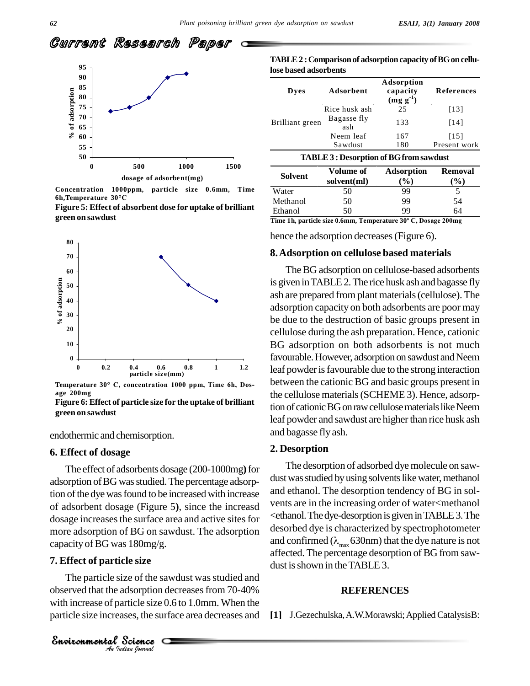



**Concentration 1000ppm, particle size 0.6mm, Time 6h,Temperature <sup>30</sup>°C**

**Figure 5: Effect of absorbent dose for uptake of brilliant green on sawdust**



**age 200mg**

**Figure 6: Effect of particle size for the uptake of brilliant green on sawdust**

endothermic and chemisorption.

#### **6. Effect of dosage**

The effect of adsorbents dosage (200-1000mg**)**for adsorption of BG was studied. The percentage adsorption of the dye was found to be increased with increase of adsorbent dosage (Figure 5), since the increasd dosage increases the surface area and active sites for more adsorption of BG on sawdust. The adsorption capacity of BG was  $180 \text{mg/g}$ .

#### **7. Effect of particle size**

The particle size of the sawdust was studied and *Indian*<br> *Indian*<br> *Indian*<br> *Indian*<br> *Journal*<br> *Padian Gournal* observed that the adsorption decreases from 70-40% with increase of particle size 0.6 to 1.0mm. When the particle size increases, the surface area decreases and

|                       | TABLE 2 : Comparison of adsorption capacity of BG on cellu- |
|-----------------------|-------------------------------------------------------------|
| lose based adsorbents |                                                             |

| Dyes            | Adsorbent          | Adsorption<br>capacity<br>$(mg g^{-1})$ | References   |
|-----------------|--------------------|-----------------------------------------|--------------|
| Brilliant green | Rice husk ash      | 25                                      | [13]         |
|                 | Bagasse fly<br>ash | 133                                     | [14]         |
|                 | Neem leaf          | 167                                     | [15]         |
|                 | Sawdust            | 180                                     | Present work |

| Solvent                | Volume of<br>solvent(ml)           | <b>Adsorption</b><br>$\binom{0}{0}$ | Removal<br>$\mathcal{O}_0$ |
|------------------------|------------------------------------|-------------------------------------|----------------------------|
| Water                  | 50                                 | 99                                  |                            |
| Methanol               | 50                                 | 99                                  | 54                         |
| Ethanol                | 50                                 | 99                                  | 64                         |
| $-1$<br>$\cdot$<br>. . | $\sim$ $\sim$<br><b>CONTRACTOR</b> | $2000 \times R$                     | $\mathbf{A}$ $\mathbf{A}$  |

**Time 1h, particle size 0.6mm, Temperature <sup>30</sup><sup>º</sup> C, Dosage 200mg**

hence the adsorption decreases (Figure 6).

#### **8.Adsorption on cellulose based materials**

The BG adsorption on cellulose-based adsorbents is given inTABLE2.The rice husk ash and bagasse fly ash are prepared from plant materials(cellulose). The adsorption capacity on both adsorbents are poor may be due to the destruction of basic groups present in cellulose during the ash preparation. Hence, cationic BG adsorption on both adsorbents is not much favourable. However, adsorption on sawdust and Neem leaf powder is favourable due to the strong interaction between the cationic BG and basic groups present in the cellulose materials(SCHEME 3). Hence, adsorption of cationic BG on raw cellulose materials like Neem leaf powder and sawdust are higher than rice husk ash and bagasse fly ash.

## **2. Desorption**

The desorption of adsorbed dye molecule on saw dust was studied by using solvents like water, methanol and ethanol. The desorption tendency of BG in sol vents are in the increasing order of water<methanol <ethanol.Thedye-desorption is given inTABLE3.The desorbed dye is characterized by spectrophotometer and confirmed ( $\lambda_{\text{max}}$  630nm) that the dye nature is not affected. The percentage desorption of BG from saw dust is shown in the TABLE 3.

# **REFERENCES**

**[1]** J.Gezechulska,A.W.Morawski;AppliedCatalysisB: